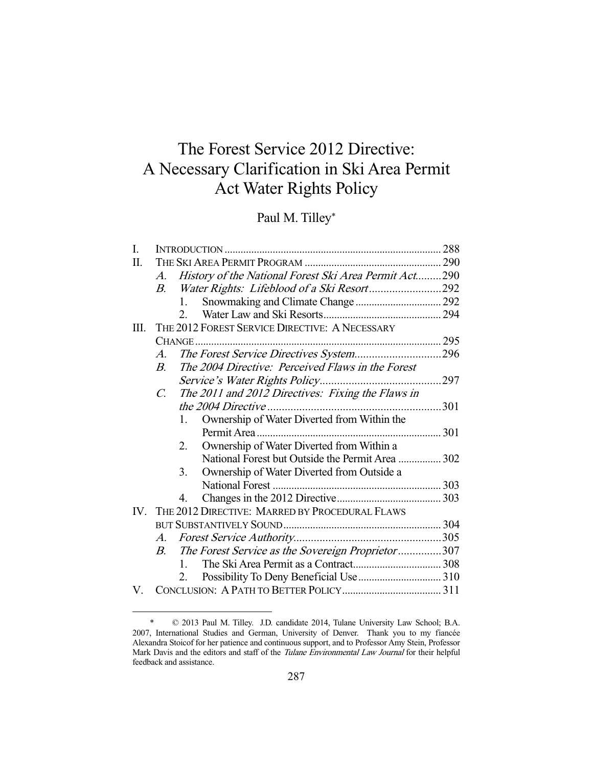# The Forest Service 2012 Directive: A Necessary Clarification in Ski Area Permit Act Water Rights Policy

## Paul M. Tilley\*

| I. |             |                                                       |     |
|----|-------------|-------------------------------------------------------|-----|
| Π. |             |                                                       |     |
|    | $A_{\cdot}$ | History of the National Forest Ski Area Permit Act290 |     |
|    | B.          |                                                       |     |
|    |             | 1.                                                    |     |
|    |             | $2^{\circ}$                                           |     |
| Ш. |             | THE 2012 FOREST SERVICE DIRECTIVE: A NECESSARY        |     |
|    | $CHANGE$    |                                                       |     |
|    | A.          |                                                       |     |
|    | $B_{\cdot}$ | The 2004 Directive: Perceived Flaws in the Forest     |     |
|    |             |                                                       | 297 |
|    | $C_{\cdot}$ | The 2011 and 2012 Directives: Fixing the Flaws in     |     |
|    |             | the 2004 Directive<br>301                             |     |
|    |             | Ownership of Water Diverted from Within the<br>1.     |     |
|    |             |                                                       |     |
|    |             | Ownership of Water Diverted from Within a<br>$2_{-}$  |     |
|    |             | National Forest but Outside the Permit Area  302      |     |
|    |             | Ownership of Water Diverted from Outside a<br>3.      |     |
|    |             |                                                       |     |
|    |             | 4.                                                    |     |
|    |             | IV. THE 2012 DIRECTIVE: MARRED BY PROCEDURAL FLAWS    |     |
|    |             |                                                       |     |
|    | $A_{\cdot}$ |                                                       |     |
|    | B.          | The Forest Service as the Sovereign Proprietor307     |     |
|    |             | $1 \quad$                                             |     |
|    |             | $2_{1}$                                               |     |
| V  |             |                                                       |     |

 <sup>\* © 2013</sup> Paul M. Tilley. J.D. candidate 2014, Tulane University Law School; B.A. 2007, International Studies and German, University of Denver. Thank you to my fiancée Alexandra Stoicof for her patience and continuous support, and to Professor Amy Stein, Professor Mark Davis and the editors and staff of the Tulane Environmental Law Journal for their helpful feedback and assistance.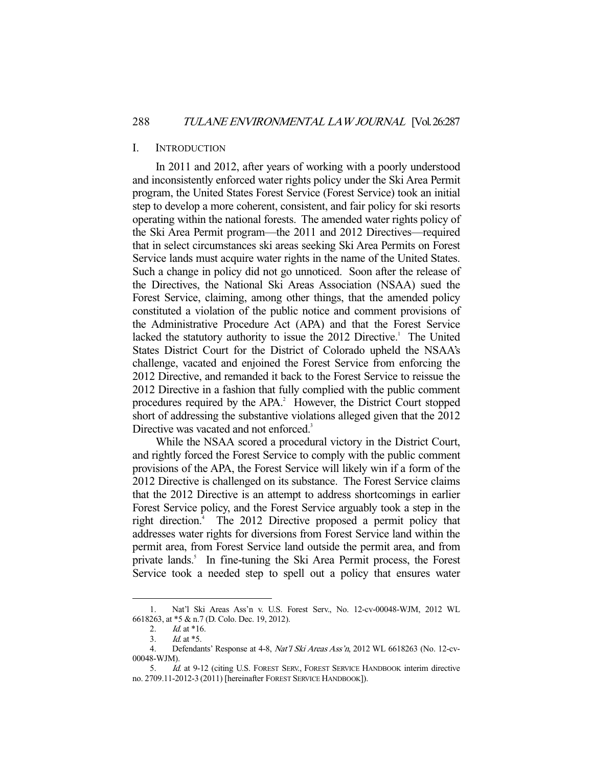#### I. INTRODUCTION

 In 2011 and 2012, after years of working with a poorly understood and inconsistently enforced water rights policy under the Ski Area Permit program, the United States Forest Service (Forest Service) took an initial step to develop a more coherent, consistent, and fair policy for ski resorts operating within the national forests. The amended water rights policy of the Ski Area Permit program—the 2011 and 2012 Directives—required that in select circumstances ski areas seeking Ski Area Permits on Forest Service lands must acquire water rights in the name of the United States. Such a change in policy did not go unnoticed. Soon after the release of the Directives, the National Ski Areas Association (NSAA) sued the Forest Service, claiming, among other things, that the amended policy constituted a violation of the public notice and comment provisions of the Administrative Procedure Act (APA) and that the Forest Service lacked the statutory authority to issue the 2012 Directive.<sup>1</sup> The United States District Court for the District of Colorado upheld the NSAA's challenge, vacated and enjoined the Forest Service from enforcing the 2012 Directive, and remanded it back to the Forest Service to reissue the 2012 Directive in a fashion that fully complied with the public comment procedures required by the  $APA$ .<sup>2</sup> However, the District Court stopped short of addressing the substantive violations alleged given that the 2012 Directive was vacated and not enforced.<sup>3</sup>

 While the NSAA scored a procedural victory in the District Court, and rightly forced the Forest Service to comply with the public comment provisions of the APA, the Forest Service will likely win if a form of the 2012 Directive is challenged on its substance. The Forest Service claims that the 2012 Directive is an attempt to address shortcomings in earlier Forest Service policy, and the Forest Service arguably took a step in the right direction.<sup>4</sup> The 2012 Directive proposed a permit policy that addresses water rights for diversions from Forest Service land within the permit area, from Forest Service land outside the permit area, and from private lands.<sup>5</sup> In fine-tuning the Ski Area Permit process, the Forest Service took a needed step to spell out a policy that ensures water

 <sup>1.</sup> Nat'l Ski Areas Ass'n v. U.S. Forest Serv., No. 12-cv-00048-WJM, 2012 WL 6618263, at \*5 & n.7 (D. Colo. Dec. 19, 2012).

<sup>2.</sup> *Id.* at \*16.

 <sup>3.</sup> Id. at \*5.

 <sup>4.</sup> Defendants' Response at 4-8, Nat'l Ski Areas Ass'n, 2012 WL 6618263 (No. 12-cv-00048-WJM).

 <sup>5.</sup> Id. at 9-12 (citing U.S. FOREST SERV., FOREST SERVICE HANDBOOK interim directive no. 2709.11-2012-3 (2011) [hereinafter FOREST SERVICE HANDBOOK]).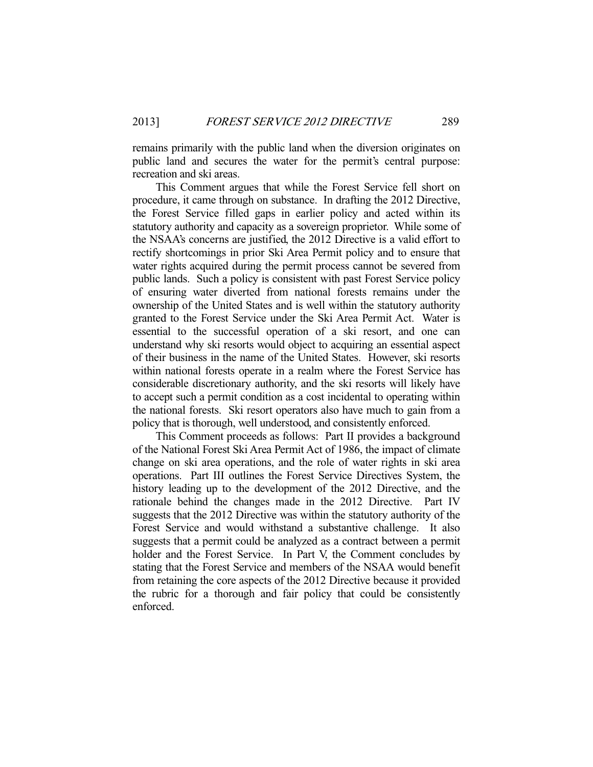remains primarily with the public land when the diversion originates on public land and secures the water for the permit's central purpose: recreation and ski areas.

 This Comment argues that while the Forest Service fell short on procedure, it came through on substance. In drafting the 2012 Directive, the Forest Service filled gaps in earlier policy and acted within its statutory authority and capacity as a sovereign proprietor. While some of the NSAA's concerns are justified, the 2012 Directive is a valid effort to rectify shortcomings in prior Ski Area Permit policy and to ensure that water rights acquired during the permit process cannot be severed from public lands. Such a policy is consistent with past Forest Service policy of ensuring water diverted from national forests remains under the ownership of the United States and is well within the statutory authority granted to the Forest Service under the Ski Area Permit Act. Water is essential to the successful operation of a ski resort, and one can understand why ski resorts would object to acquiring an essential aspect of their business in the name of the United States. However, ski resorts within national forests operate in a realm where the Forest Service has considerable discretionary authority, and the ski resorts will likely have to accept such a permit condition as a cost incidental to operating within the national forests. Ski resort operators also have much to gain from a policy that is thorough, well understood, and consistently enforced.

 This Comment proceeds as follows: Part II provides a background of the National Forest Ski Area Permit Act of 1986, the impact of climate change on ski area operations, and the role of water rights in ski area operations. Part III outlines the Forest Service Directives System, the history leading up to the development of the 2012 Directive, and the rationale behind the changes made in the 2012 Directive. Part IV suggests that the 2012 Directive was within the statutory authority of the Forest Service and would withstand a substantive challenge. It also suggests that a permit could be analyzed as a contract between a permit holder and the Forest Service. In Part V, the Comment concludes by stating that the Forest Service and members of the NSAA would benefit from retaining the core aspects of the 2012 Directive because it provided the rubric for a thorough and fair policy that could be consistently enforced.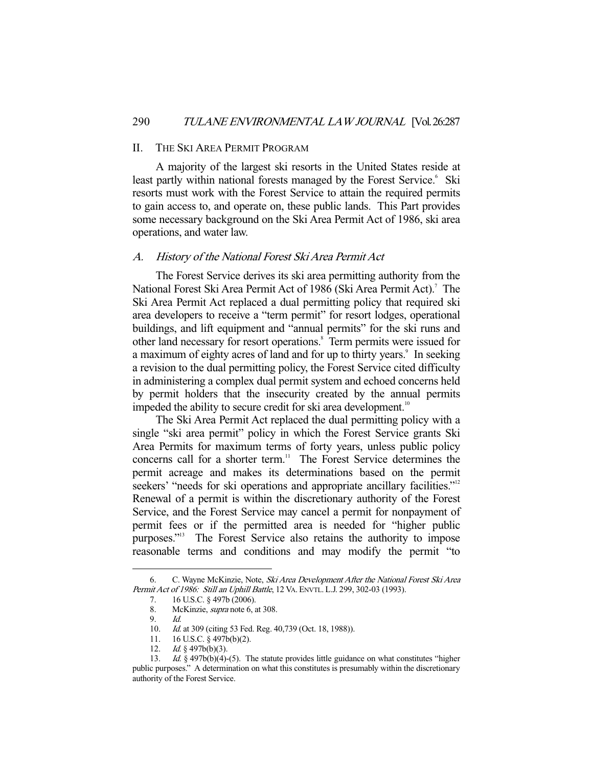#### II. THE SKI AREA PERMIT PROGRAM

 A majority of the largest ski resorts in the United States reside at least partly within national forests managed by the Forest Service.<sup>6</sup> Ski resorts must work with the Forest Service to attain the required permits to gain access to, and operate on, these public lands. This Part provides some necessary background on the Ski Area Permit Act of 1986, ski area operations, and water law.

#### A. History of the National Forest Ski Area Permit Act

 The Forest Service derives its ski area permitting authority from the National Forest Ski Area Permit Act of 1986 (Ski Area Permit Act).<sup>7</sup> The Ski Area Permit Act replaced a dual permitting policy that required ski area developers to receive a "term permit" for resort lodges, operational buildings, and lift equipment and "annual permits" for the ski runs and other land necessary for resort operations.<sup>8</sup> Term permits were issued for a maximum of eighty acres of land and for up to thirty years.<sup>9</sup> In seeking a revision to the dual permitting policy, the Forest Service cited difficulty in administering a complex dual permit system and echoed concerns held by permit holders that the insecurity created by the annual permits impeded the ability to secure credit for ski area development.<sup>10</sup>

 The Ski Area Permit Act replaced the dual permitting policy with a single "ski area permit" policy in which the Forest Service grants Ski Area Permits for maximum terms of forty years, unless public policy concerns call for a shorter term.<sup>11</sup> The Forest Service determines the permit acreage and makes its determinations based on the permit seekers' "needs for ski operations and appropriate ancillary facilities."<sup>12</sup> Renewal of a permit is within the discretionary authority of the Forest Service, and the Forest Service may cancel a permit for nonpayment of permit fees or if the permitted area is needed for "higher public purposes."<sup>13</sup> The Forest Service also retains the authority to impose reasonable terms and conditions and may modify the permit "to

 <sup>6.</sup> C. Wayne McKinzie, Note, Ski Area Development After the National Forest Ski Area Permit Act of 1986: Still an Uphill Battle, 12 VA. ENVTL. L.J. 299, 302-03 (1993).

 <sup>7. 16</sup> U.S.C. § 497b (2006).

 <sup>8.</sup> McKinzie, supra note 6, at 308.

 <sup>9.</sup> Id.

<sup>10.</sup> *Id.* at 309 (citing 53 Fed. Reg. 40,739 (Oct. 18, 1988)).

 <sup>11. 16</sup> U.S.C. § 497b(b)(2).

<sup>12.</sup> *Id.* § 497b(b)(3).

<sup>13.</sup> Id. § 497b(b)(4)-(5). The statute provides little guidance on what constitutes "higher public purposes." A determination on what this constitutes is presumably within the discretionary authority of the Forest Service.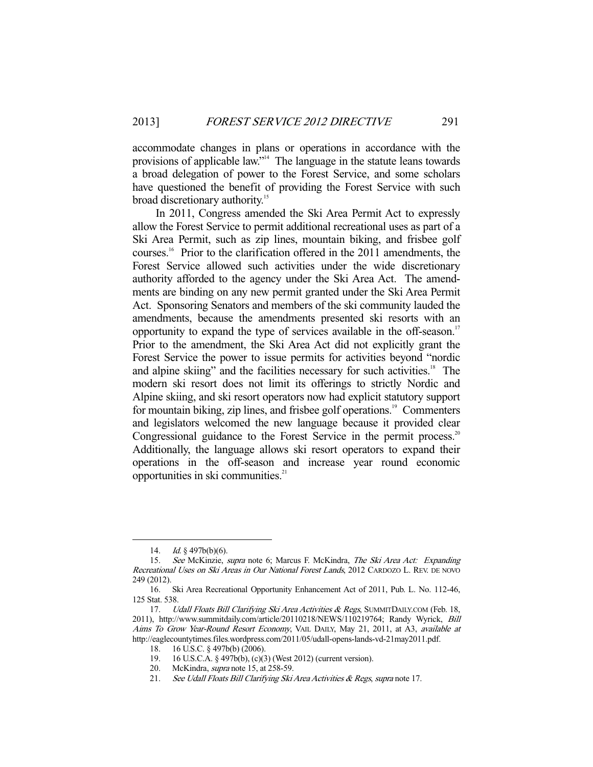accommodate changes in plans or operations in accordance with the provisions of applicable law."<sup>14</sup> The language in the statute leans towards a broad delegation of power to the Forest Service, and some scholars have questioned the benefit of providing the Forest Service with such broad discretionary authority.<sup>15</sup>

 In 2011, Congress amended the Ski Area Permit Act to expressly allow the Forest Service to permit additional recreational uses as part of a Ski Area Permit, such as zip lines, mountain biking, and frisbee golf courses.16 Prior to the clarification offered in the 2011 amendments, the Forest Service allowed such activities under the wide discretionary authority afforded to the agency under the Ski Area Act. The amendments are binding on any new permit granted under the Ski Area Permit Act. Sponsoring Senators and members of the ski community lauded the amendments, because the amendments presented ski resorts with an opportunity to expand the type of services available in the off-season.<sup>17</sup> Prior to the amendment, the Ski Area Act did not explicitly grant the Forest Service the power to issue permits for activities beyond "nordic and alpine skiing" and the facilities necessary for such activities.<sup>18</sup> The modern ski resort does not limit its offerings to strictly Nordic and Alpine skiing, and ski resort operators now had explicit statutory support for mountain biking, zip lines, and frisbee golf operations.<sup>19</sup> Commenters and legislators welcomed the new language because it provided clear Congressional guidance to the Forest Service in the permit process.<sup>20</sup> Additionally, the language allows ski resort operators to expand their operations in the off-season and increase year round economic opportunities in ski communities. $2<sup>1</sup>$ 

<sup>14.</sup>  $Id. \S$  497b(b)(6).

 <sup>15.</sup> See McKinzie, supra note 6; Marcus F. McKindra, The Ski Area Act: Expanding Recreational Uses on Ski Areas in Our National Forest Lands, 2012 CARDOZO L. REV. DE NOVO 249 (2012).

 <sup>16.</sup> Ski Area Recreational Opportunity Enhancement Act of 2011, Pub. L. No. 112-46, 125 Stat. 538.

<sup>17.</sup> Udall Floats Bill Clarifying Ski Area Activities & Regs, SUMMITDAILY.COM (Feb. 18, 2011), http://www.summitdaily.com/article/20110218/NEWS/110219764; Randy Wyrick, Bill Aims To Grow Year-Round Resort Economy, VAIL DAILY, May 21, 2011, at A3, available at http://eaglecountytimes.files.wordpress.com/2011/05/udall-opens-lands-vd-21may2011.pdf.

 <sup>18. 16</sup> U.S.C. § 497b(b) (2006).

 <sup>19. 16</sup> U.S.C.A. § 497b(b), (c)(3) (West 2012) (current version).

 <sup>20.</sup> McKindra, supra note 15, at 258-59.

<sup>21.</sup> See Udall Floats Bill Clarifying Ski Area Activities & Regs, supra note 17.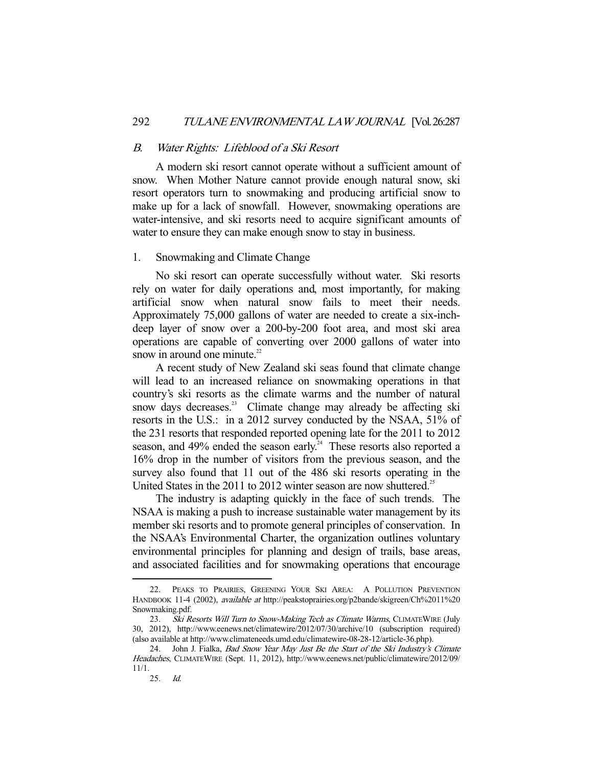#### B. Water Rights: Lifeblood of a Ski Resort

 A modern ski resort cannot operate without a sufficient amount of snow. When Mother Nature cannot provide enough natural snow, ski resort operators turn to snowmaking and producing artificial snow to make up for a lack of snowfall. However, snowmaking operations are water-intensive, and ski resorts need to acquire significant amounts of water to ensure they can make enough snow to stay in business.

#### 1. Snowmaking and Climate Change

 No ski resort can operate successfully without water. Ski resorts rely on water for daily operations and, most importantly, for making artificial snow when natural snow fails to meet their needs. Approximately 75,000 gallons of water are needed to create a six-inchdeep layer of snow over a 200-by-200 foot area, and most ski area operations are capable of converting over 2000 gallons of water into snow in around one minute. $22$ 

 A recent study of New Zealand ski seas found that climate change will lead to an increased reliance on snowmaking operations in that country's ski resorts as the climate warms and the number of natural snow days decreases.<sup>23</sup> Climate change may already be affecting ski resorts in the U.S.: in a 2012 survey conducted by the NSAA, 51% of the 231 resorts that responded reported opening late for the 2011 to 2012 season, and 49% ended the season early.<sup>24</sup> These resorts also reported a 16% drop in the number of visitors from the previous season, and the survey also found that 11 out of the 486 ski resorts operating in the United States in the 2011 to 2012 winter season are now shuttered.<sup>25</sup>

 The industry is adapting quickly in the face of such trends. The NSAA is making a push to increase sustainable water management by its member ski resorts and to promote general principles of conservation. In the NSAA's Environmental Charter, the organization outlines voluntary environmental principles for planning and design of trails, base areas, and associated facilities and for snowmaking operations that encourage

 <sup>22.</sup> PEAKS TO PRAIRIES, GREENING YOUR SKI AREA: A POLLUTION PREVENTION HANDBOOK 11-4 (2002), available at http://peakstoprairies.org/p2bande/skigreen/Ch%2011%20 Snowmaking.pdf.

<sup>23.</sup> Ski Resorts Will Turn to Snow-Making Tech as Climate Warms, CLIMATEWIRE (July 30, 2012), http://www.eenews.net/climatewire/2012/07/30/archive/10 (subscription required) (also available at http://www.climateneeds.umd.edu/climatewire-08-28-12/article-36.php).

<sup>24.</sup> John J. Fialka, *Bad Snow Year May Just Be the Start of the Ski Industry's Climate* Headaches, CLIMATEWIRE (Sept. 11, 2012), http://www.eenews.net/public/climatewire/2012/09/ 11/1.

 <sup>25.</sup> Id.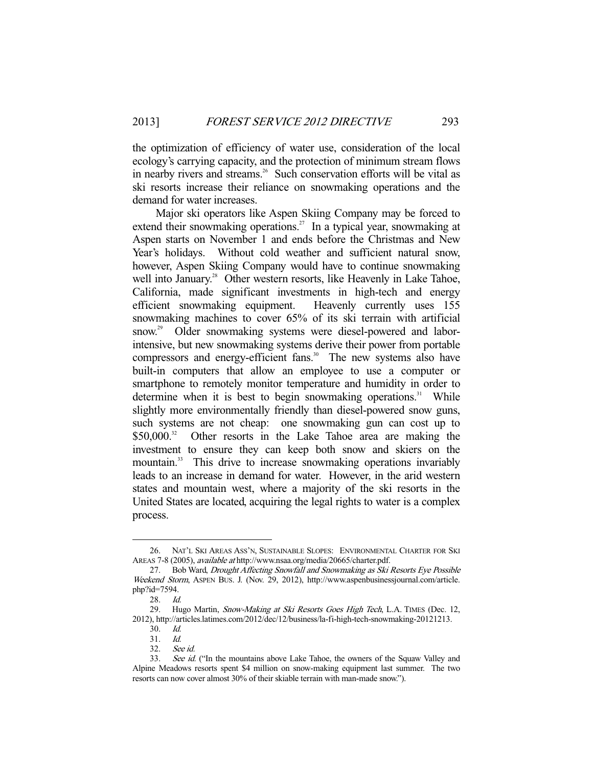the optimization of efficiency of water use, consideration of the local ecology's carrying capacity, and the protection of minimum stream flows in nearby rivers and streams.<sup>26</sup> Such conservation efforts will be vital as ski resorts increase their reliance on snowmaking operations and the demand for water increases.

 Major ski operators like Aspen Skiing Company may be forced to extend their snowmaking operations.<sup>27</sup> In a typical year, snowmaking at Aspen starts on November 1 and ends before the Christmas and New Year's holidays. Without cold weather and sufficient natural snow, however, Aspen Skiing Company would have to continue snowmaking well into January.<sup>28</sup> Other western resorts, like Heavenly in Lake Tahoe, California, made significant investments in high-tech and energy efficient snowmaking equipment. Heavenly currently uses 155 snowmaking machines to cover 65% of its ski terrain with artificial snow.<sup>29</sup> Older snowmaking systems were diesel-powered and laborintensive, but new snowmaking systems derive their power from portable compressors and energy-efficient fans.<sup>30</sup> The new systems also have built-in computers that allow an employee to use a computer or smartphone to remotely monitor temperature and humidity in order to determine when it is best to begin snowmaking operations. $31$  While slightly more environmentally friendly than diesel-powered snow guns, such systems are not cheap: one snowmaking gun can cost up to \$50,000.<sup>32</sup> Other resorts in the Lake Tahoe area are making the investment to ensure they can keep both snow and skiers on the mountain.<sup>33</sup> This drive to increase snowmaking operations invariably leads to an increase in demand for water. However, in the arid western states and mountain west, where a majority of the ski resorts in the United States are located, acquiring the legal rights to water is a complex process.

 <sup>26.</sup> NAT'L SKI AREAS ASS'N, SUSTAINABLE SLOPES: ENVIRONMENTAL CHARTER FOR SKI AREAS 7-8 (2005), available at http://www.nsaa.org/media/20665/charter.pdf.

 <sup>27.</sup> Bob Ward, Drought Affecting Snowfall and Snowmaking as Ski Resorts Eye Possible Weekend Storm, ASPEN BUS. J. (Nov. 29, 2012), http://www.aspenbusinessjournal.com/article. php?id=7594.

 <sup>28.</sup> Id.

<sup>29.</sup> Hugo Martin, Snow-Making at Ski Resorts Goes High Tech, L.A. TIMES (Dec. 12, 2012), http://articles.latimes.com/2012/dec/12/business/la-fi-high-tech-snowmaking-20121213.

 <sup>30.</sup> Id.

 <sup>31.</sup> Id.

 <sup>32.</sup> See id.

<sup>33.</sup> See id. ("In the mountains above Lake Tahoe, the owners of the Squaw Valley and Alpine Meadows resorts spent \$4 million on snow-making equipment last summer. The two resorts can now cover almost 30% of their skiable terrain with man-made snow.").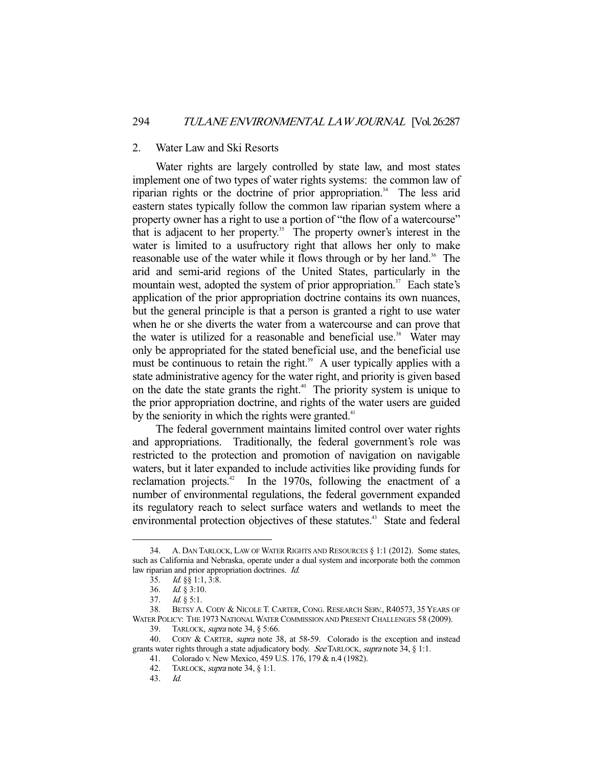#### 2. Water Law and Ski Resorts

 Water rights are largely controlled by state law, and most states implement one of two types of water rights systems: the common law of riparian rights or the doctrine of prior appropriation.<sup>34</sup> The less arid eastern states typically follow the common law riparian system where a property owner has a right to use a portion of "the flow of a watercourse" that is adjacent to her property.35 The property owner's interest in the water is limited to a usufructory right that allows her only to make reasonable use of the water while it flows through or by her land.<sup>36</sup> The arid and semi-arid regions of the United States, particularly in the mountain west, adopted the system of prior appropriation.<sup>37</sup> Each state's application of the prior appropriation doctrine contains its own nuances, but the general principle is that a person is granted a right to use water when he or she diverts the water from a watercourse and can prove that the water is utilized for a reasonable and beneficial use.<sup>38</sup> Water may only be appropriated for the stated beneficial use, and the beneficial use must be continuous to retain the right.<sup>39</sup> A user typically applies with a state administrative agency for the water right, and priority is given based on the date the state grants the right.<sup> $40$ </sup> The priority system is unique to the prior appropriation doctrine, and rights of the water users are guided by the seniority in which the rights were granted.<sup>41</sup>

 The federal government maintains limited control over water rights and appropriations. Traditionally, the federal government's role was restricted to the protection and promotion of navigation on navigable waters, but it later expanded to include activities like providing funds for reclamation projects. $42$  In the 1970s, following the enactment of a number of environmental regulations, the federal government expanded its regulatory reach to select surface waters and wetlands to meet the environmental protection objectives of these statutes.<sup>43</sup> State and federal

 <sup>34.</sup> A. DAN TARLOCK, LAW OF WATER RIGHTS AND RESOURCES § 1:1 (2012). Some states, such as California and Nebraska, operate under a dual system and incorporate both the common law riparian and prior appropriation doctrines. *Id.* 

 <sup>35.</sup> Id. §§ 1:1, 3:8.

 <sup>36.</sup> Id. § 3:10.

 <sup>37.</sup> Id. § 5:1.

 <sup>38.</sup> BETSY A. CODY & NICOLE T. CARTER, CONG. RESEARCH SERV., R40573, 35 YEARS OF WATER POLICY: THE 1973 NATIONAL WATER COMMISSION AND PRESENT CHALLENGES 58 (2009).

<sup>39.</sup> TARLOCK, *supra* note 34, § 5:66.

<sup>40.</sup> CODY & CARTER, *supra* note 38, at 58-59. Colorado is the exception and instead grants water rights through a state adjudicatory body. See TARLOCK, supra note 34, § 1:1.

<sup>41.</sup> Colorado v. New Mexico, 459 U.S. 176, 179 & n.4 (1982).<br>42. TARLOCK, *supra* note 34, § 1:1.

TARLOCK, supra note 34,  $\S$  1:1.

 <sup>43.</sup> Id.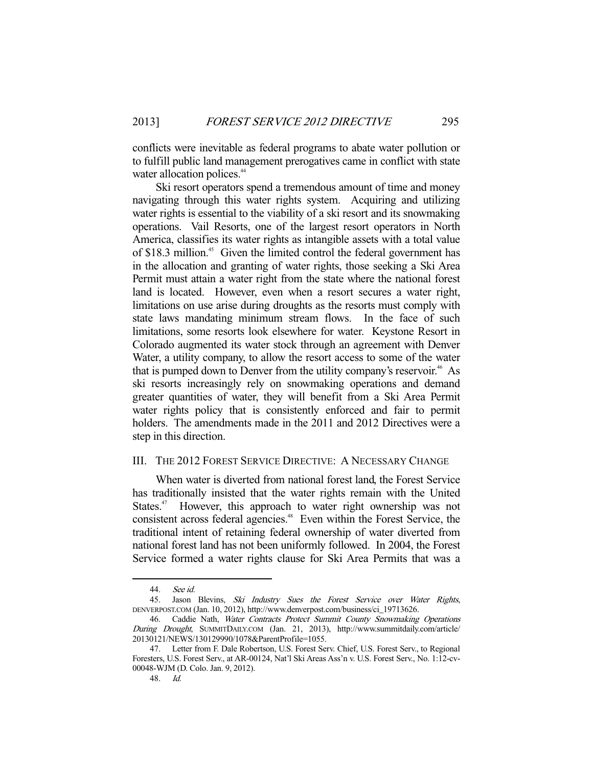conflicts were inevitable as federal programs to abate water pollution or to fulfill public land management prerogatives came in conflict with state water allocation polices.<sup>44</sup>

 Ski resort operators spend a tremendous amount of time and money navigating through this water rights system. Acquiring and utilizing water rights is essential to the viability of a ski resort and its snowmaking operations. Vail Resorts, one of the largest resort operators in North America, classifies its water rights as intangible assets with a total value of \$18.3 million.<sup>45</sup> Given the limited control the federal government has in the allocation and granting of water rights, those seeking a Ski Area Permit must attain a water right from the state where the national forest land is located. However, even when a resort secures a water right, limitations on use arise during droughts as the resorts must comply with state laws mandating minimum stream flows. In the face of such limitations, some resorts look elsewhere for water. Keystone Resort in Colorado augmented its water stock through an agreement with Denver Water, a utility company, to allow the resort access to some of the water that is pumped down to Denver from the utility company's reservoir.<sup>46</sup> As ski resorts increasingly rely on snowmaking operations and demand greater quantities of water, they will benefit from a Ski Area Permit water rights policy that is consistently enforced and fair to permit holders. The amendments made in the 2011 and 2012 Directives were a step in this direction.

## III. THE 2012 FOREST SERVICE DIRECTIVE: A NECESSARY CHANGE

 When water is diverted from national forest land, the Forest Service has traditionally insisted that the water rights remain with the United States.<sup>47</sup> However, this approach to water right ownership was not consistent across federal agencies.<sup>48</sup> Even within the Forest Service, the traditional intent of retaining federal ownership of water diverted from national forest land has not been uniformly followed. In 2004, the Forest Service formed a water rights clause for Ski Area Permits that was a

 <sup>44.</sup> See id.

<sup>45.</sup> Jason Blevins, Ski Industry Sues the Forest Service over Water Rights, DENVERPOST.COM (Jan. 10, 2012), http://www.denverpost.com/business/ci\_19713626.

 <sup>46.</sup> Caddie Nath, Water Contracts Protect Summit County Snowmaking Operations During Drought, SUMMITDAILY.COM (Jan. 21, 2013), http://www.summitdaily.com/article/ 20130121/NEWS/130129990/1078&ParentProfile=1055.

 <sup>47.</sup> Letter from F. Dale Robertson, U.S. Forest Serv. Chief, U.S. Forest Serv., to Regional Foresters, U.S. Forest Serv., at AR-00124, Nat'l Ski Areas Ass'n v. U.S. Forest Serv., No. 1:12-cv-00048-WJM (D. Colo. Jan. 9, 2012).

 <sup>48.</sup> Id.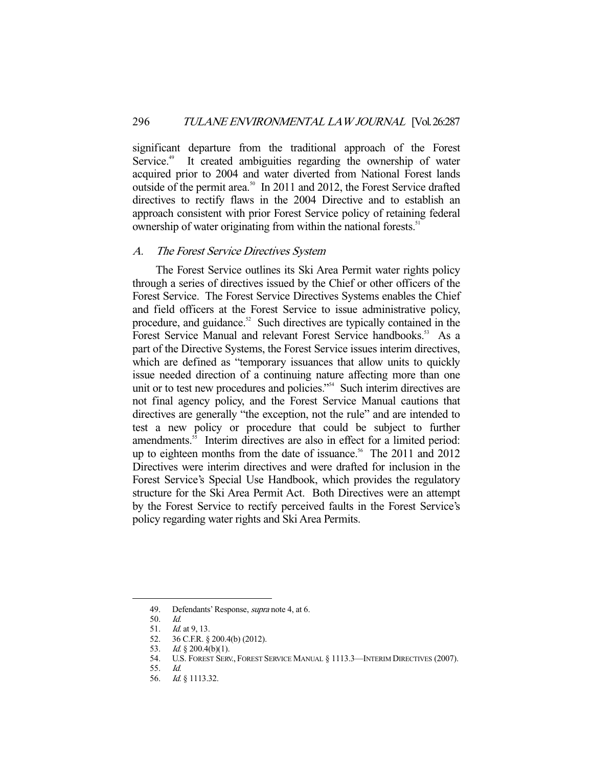significant departure from the traditional approach of the Forest Service.<sup>49</sup> It created ambiguities regarding the ownership of water acquired prior to 2004 and water diverted from National Forest lands outside of the permit area.<sup>50</sup> In 2011 and 2012, the Forest Service drafted directives to rectify flaws in the 2004 Directive and to establish an approach consistent with prior Forest Service policy of retaining federal ownership of water originating from within the national forests.<sup>51</sup>

#### A. The Forest Service Directives System

 The Forest Service outlines its Ski Area Permit water rights policy through a series of directives issued by the Chief or other officers of the Forest Service. The Forest Service Directives Systems enables the Chief and field officers at the Forest Service to issue administrative policy, procedure, and guidance.<sup>52</sup> Such directives are typically contained in the Forest Service Manual and relevant Forest Service handbooks.<sup>53</sup> As a part of the Directive Systems, the Forest Service issues interim directives, which are defined as "temporary issuances that allow units to quickly issue needed direction of a continuing nature affecting more than one unit or to test new procedures and policies."<sup>54</sup> Such interim directives are not final agency policy, and the Forest Service Manual cautions that directives are generally "the exception, not the rule" and are intended to test a new policy or procedure that could be subject to further amendments.<sup>55</sup> Interim directives are also in effect for a limited period: up to eighteen months from the date of issuance.<sup>56</sup> The 2011 and 2012 Directives were interim directives and were drafted for inclusion in the Forest Service's Special Use Handbook, which provides the regulatory structure for the Ski Area Permit Act. Both Directives were an attempt by the Forest Service to rectify perceived faults in the Forest Service's policy regarding water rights and Ski Area Permits.

 <sup>49.</sup> Defendants' Response, supra note 4, at 6.

<sup>50.</sup> *Id.*<br>51. *Id.* 

<sup>51.</sup> *Id.* at 9, 13.<br>52. 36 C.F.R. §<br>52.  $36 \text{ C.F.R.}$ 52. 36 C.F.R. § 200.4(b) (2012).

<sup>53.</sup> *Id.* § 200.4(b)(1).

 <sup>54.</sup> U.S. FOREST SERV., FOREST SERVICE MANUAL § 1113.3—INTERIM DIRECTIVES (2007).

 <sup>55.</sup> Id.

 <sup>56.</sup> Id. § 1113.32.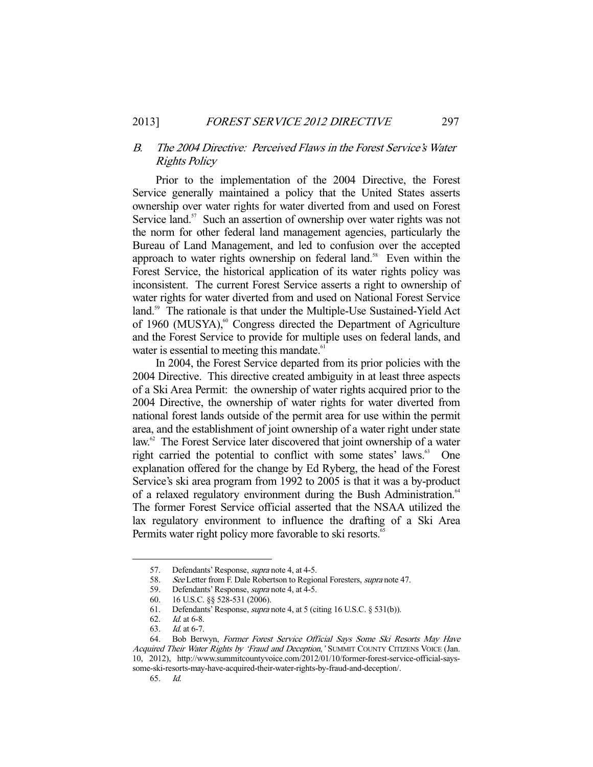## B. The 2004 Directive: Perceived Flaws in the Forest Service's Water Rights Policy

 Prior to the implementation of the 2004 Directive, the Forest Service generally maintained a policy that the United States asserts ownership over water rights for water diverted from and used on Forest Service land.<sup>57</sup> Such an assertion of ownership over water rights was not the norm for other federal land management agencies, particularly the Bureau of Land Management, and led to confusion over the accepted approach to water rights ownership on federal land.<sup>58</sup> Even within the Forest Service, the historical application of its water rights policy was inconsistent. The current Forest Service asserts a right to ownership of water rights for water diverted from and used on National Forest Service land.<sup>59</sup> The rationale is that under the Multiple-Use Sustained-Yield Act of 1960 (MUSYA),<sup>60</sup> Congress directed the Department of Agriculture and the Forest Service to provide for multiple uses on federal lands, and water is essential to meeting this mandate.<sup>61</sup>

 In 2004, the Forest Service departed from its prior policies with the 2004 Directive. This directive created ambiguity in at least three aspects of a Ski Area Permit: the ownership of water rights acquired prior to the 2004 Directive, the ownership of water rights for water diverted from national forest lands outside of the permit area for use within the permit area, and the establishment of joint ownership of a water right under state law.<sup>62</sup> The Forest Service later discovered that joint ownership of a water right carried the potential to conflict with some states' laws.<sup>63</sup> One explanation offered for the change by Ed Ryberg, the head of the Forest Service's ski area program from 1992 to 2005 is that it was a by-product of a relaxed regulatory environment during the Bush Administration.<sup>64</sup> The former Forest Service official asserted that the NSAA utilized the lax regulatory environment to influence the drafting of a Ski Area Permits water right policy more favorable to ski resorts.<sup>65</sup>

 <sup>57.</sup> Defendants' Response, supra note 4, at 4-5.

<sup>58.</sup> See Letter from F. Dale Robertson to Regional Foresters, supra note 47.

<sup>59.</sup> Defendants' Response, *supra* note 4, at 4-5.

 <sup>60. 16</sup> U.S.C. §§ 528-531 (2006).

<sup>61.</sup> Defendants' Response, *supra* note 4, at 5 (citing 16 U.S.C. § 531(b)). 62. Id. at 6-8.

Id. at 6-8.

 <sup>63.</sup> Id. at 6-7.

 <sup>64.</sup> Bob Berwyn, Former Forest Service Official Says Some Ski Resorts May Have Acquired Their Water Rights by 'Fraud and Deception,' SUMMIT COUNTY CITIZENS VOICE (Jan. 10, 2012), http://www.summitcountyvoice.com/2012/01/10/former-forest-service-official-sayssome-ski-resorts-may-have-acquired-their-water-rights-by-fraud-and-deception/.

 <sup>65.</sup> Id.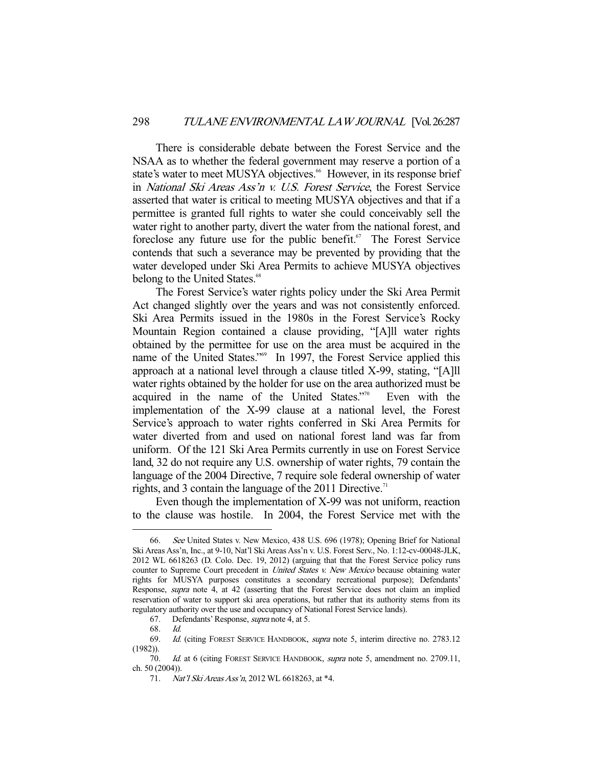There is considerable debate between the Forest Service and the NSAA as to whether the federal government may reserve a portion of a state's water to meet MUSYA objectives.<sup>66</sup> However, in its response brief in National Ski Areas Ass'n v. U.S. Forest Service, the Forest Service asserted that water is critical to meeting MUSYA objectives and that if a permittee is granted full rights to water she could conceivably sell the water right to another party, divert the water from the national forest, and foreclose any future use for the public benefit.<sup> $67$ </sup> The Forest Service contends that such a severance may be prevented by providing that the water developed under Ski Area Permits to achieve MUSYA objectives belong to the United States.<sup>68</sup>

 The Forest Service's water rights policy under the Ski Area Permit Act changed slightly over the years and was not consistently enforced. Ski Area Permits issued in the 1980s in the Forest Service's Rocky Mountain Region contained a clause providing, "[A]ll water rights obtained by the permittee for use on the area must be acquired in the name of the United States."<sup>69</sup> In 1997, the Forest Service applied this approach at a national level through a clause titled X-99, stating, "[A]ll water rights obtained by the holder for use on the area authorized must be acquired in the name of the United States."<sup>70</sup> Even with the implementation of the X-99 clause at a national level, the Forest Service's approach to water rights conferred in Ski Area Permits for water diverted from and used on national forest land was far from uniform. Of the 121 Ski Area Permits currently in use on Forest Service land, 32 do not require any U.S. ownership of water rights, 79 contain the language of the 2004 Directive, 7 require sole federal ownership of water rights, and 3 contain the language of the 2011 Directive.<sup>71</sup>

 Even though the implementation of X-99 was not uniform, reaction to the clause was hostile. In 2004, the Forest Service met with the

 <sup>66.</sup> See United States v. New Mexico, 438 U.S. 696 (1978); Opening Brief for National Ski Areas Ass'n, Inc., at 9-10, Nat'l Ski Areas Ass'n v. U.S. Forest Serv., No. 1:12-cv-00048-JLK, 2012 WL 6618263 (D. Colo. Dec. 19, 2012) (arguing that that the Forest Service policy runs counter to Supreme Court precedent in *United States v. New Mexico* because obtaining water rights for MUSYA purposes constitutes a secondary recreational purpose); Defendants' Response, supra note 4, at 42 (asserting that the Forest Service does not claim an implied reservation of water to support ski area operations, but rather that its authority stems from its regulatory authority over the use and occupancy of National Forest Service lands).

 <sup>67.</sup> Defendants' Response, supra note 4, at 5.

 <sup>68.</sup> Id.

 <sup>69.</sup> Id. (citing FOREST SERVICE HANDBOOK, supra note 5, interim directive no. 2783.12 (1982)).

<sup>70.</sup> Id. at 6 (citing FOREST SERVICE HANDBOOK, supra note 5, amendment no. 2709.11, ch. 50 (2004)).

 <sup>71.</sup> Nat'l Ski Areas Ass'n, 2012 WL 6618263, at \*4.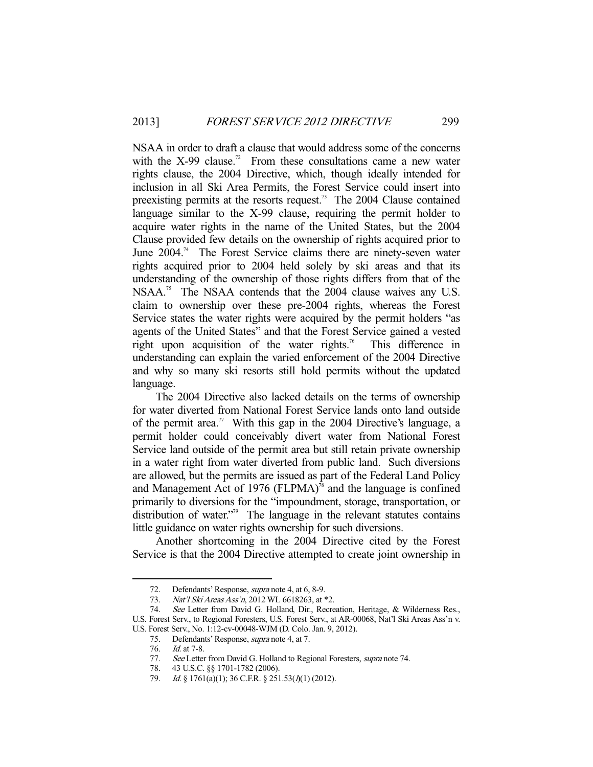NSAA in order to draft a clause that would address some of the concerns with the  $X$ -99 clause.<sup>72</sup> From these consultations came a new water rights clause, the 2004 Directive, which, though ideally intended for inclusion in all Ski Area Permits, the Forest Service could insert into preexisting permits at the resorts request.<sup>73</sup> The 2004 Clause contained language similar to the X-99 clause, requiring the permit holder to acquire water rights in the name of the United States, but the 2004 Clause provided few details on the ownership of rights acquired prior to June 2004.<sup>74</sup> The Forest Service claims there are ninety-seven water rights acquired prior to 2004 held solely by ski areas and that its understanding of the ownership of those rights differs from that of the NSAA.<sup>75</sup> The NSAA contends that the 2004 clause waives any U.S. claim to ownership over these pre-2004 rights, whereas the Forest Service states the water rights were acquired by the permit holders "as agents of the United States" and that the Forest Service gained a vested right upon acquisition of the water rights.<sup>76</sup> This difference in understanding can explain the varied enforcement of the 2004 Directive and why so many ski resorts still hold permits without the updated language.

 The 2004 Directive also lacked details on the terms of ownership for water diverted from National Forest Service lands onto land outside of the permit area.<sup>77</sup> With this gap in the 2004 Directive's language, a permit holder could conceivably divert water from National Forest Service land outside of the permit area but still retain private ownership in a water right from water diverted from public land. Such diversions are allowed, but the permits are issued as part of the Federal Land Policy and Management Act of 1976 (FLPMA)<sup>78</sup> and the language is confined primarily to diversions for the "impoundment, storage, transportation, or distribution of water."<sup>79</sup> The language in the relevant statutes contains little guidance on water rights ownership for such diversions.

 Another shortcoming in the 2004 Directive cited by the Forest Service is that the 2004 Directive attempted to create joint ownership in

 <sup>72.</sup> Defendants' Response, supra note 4, at 6, 8-9.

<sup>73.</sup> Nat'l Ski Areas Ass'n, 2012 WL 6618263, at \*2.

 <sup>74.</sup> See Letter from David G. Holland, Dir., Recreation, Heritage, & Wilderness Res., U.S. Forest Serv., to Regional Foresters, U.S. Forest Serv., at AR-00068, Nat'l Ski Areas Ass'n v. U.S. Forest Serv., No. 1:12-cv-00048-WJM (D. Colo. Jan. 9, 2012).

<sup>75.</sup> Defendants' Response, *supra* note 4, at 7.

<sup>76.</sup> *Id.* at 7-8.

<sup>77.</sup> See Letter from David G. Holland to Regional Foresters, supra note 74.

 <sup>78. 43</sup> U.S.C. §§ 1701-1782 (2006).

<sup>79.</sup> Id. § 1761(a)(1); 36 C.F.R. § 251.53( $\hat{I}/(1)$  (2012).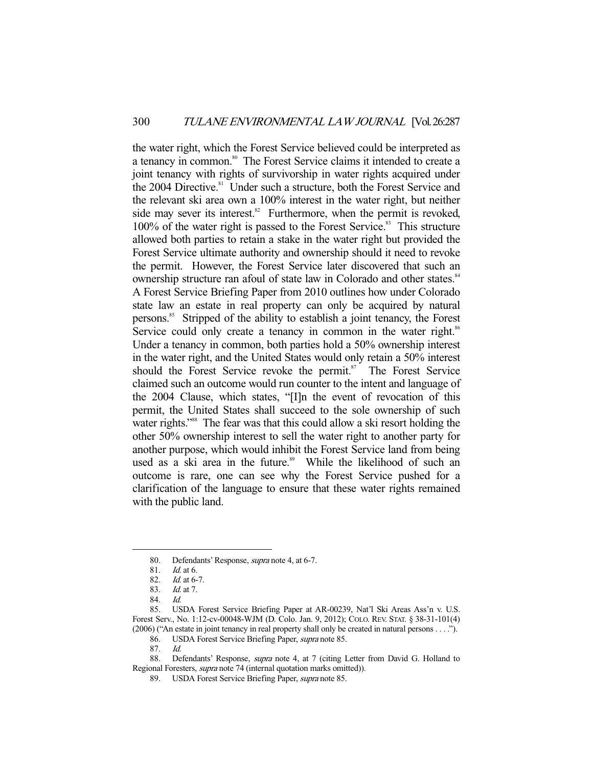the water right, which the Forest Service believed could be interpreted as a tenancy in common.<sup>80</sup> The Forest Service claims it intended to create a joint tenancy with rights of survivorship in water rights acquired under the  $2004$  Directive.<sup>81</sup> Under such a structure, both the Forest Service and the relevant ski area own a 100% interest in the water right, but neither side may sever its interest. $82$  Furthermore, when the permit is revoked, 100% of the water right is passed to the Forest Service.<sup>83</sup> This structure allowed both parties to retain a stake in the water right but provided the Forest Service ultimate authority and ownership should it need to revoke the permit. However, the Forest Service later discovered that such an ownership structure ran afoul of state law in Colorado and other states.<sup>84</sup> A Forest Service Briefing Paper from 2010 outlines how under Colorado state law an estate in real property can only be acquired by natural persons.85 Stripped of the ability to establish a joint tenancy, the Forest Service could only create a tenancy in common in the water right.<sup>86</sup> Under a tenancy in common, both parties hold a 50% ownership interest in the water right, and the United States would only retain a 50% interest should the Forest Service revoke the permit.<sup>87</sup> The Forest Service claimed such an outcome would run counter to the intent and language of the 2004 Clause, which states, "[I]n the event of revocation of this permit, the United States shall succeed to the sole ownership of such water rights."<sup>88</sup> The fear was that this could allow a ski resort holding the other 50% ownership interest to sell the water right to another party for another purpose, which would inhibit the Forest Service land from being used as a ski area in the future.<sup>89</sup> While the likelihood of such an outcome is rare, one can see why the Forest Service pushed for a clarification of the language to ensure that these water rights remained with the public land.

-

86. USDA Forest Service Briefing Paper, supra note 85.

 88. Defendants' Response, supra note 4, at 7 (citing Letter from David G. Holland to Regional Foresters, supra note 74 (internal quotation marks omitted)).

 <sup>80.</sup> Defendants' Response, supra note 4, at 6-7.

 <sup>81.</sup> Id. at 6.

 <sup>82.</sup> Id. at 6-7.

 <sup>83.</sup> Id. at 7.

 <sup>84.</sup> Id.

 <sup>85.</sup> USDA Forest Service Briefing Paper at AR-00239, Nat'l Ski Areas Ass'n v. U.S. Forest Serv., No. 1:12-cv-00048-WJM (D. Colo. Jan. 9, 2012); COLO. REV. STAT. § 38-31-101(4) (2006) ("An estate in joint tenancy in real property shall only be created in natural persons . . . .").

 <sup>87.</sup> Id.

<sup>89.</sup> USDA Forest Service Briefing Paper, *supra* note 85.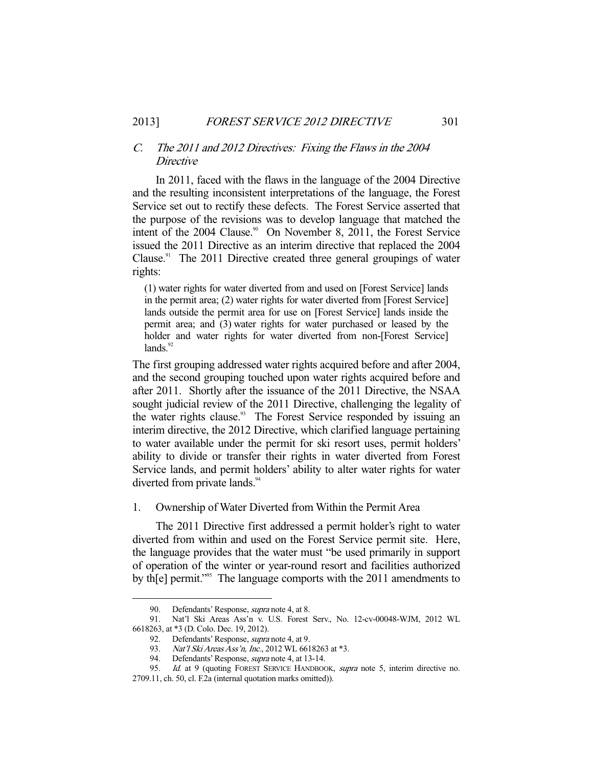## C. The 2011 and 2012 Directives: Fixing the Flaws in the 2004 Directive

 In 2011, faced with the flaws in the language of the 2004 Directive and the resulting inconsistent interpretations of the language, the Forest Service set out to rectify these defects. The Forest Service asserted that the purpose of the revisions was to develop language that matched the intent of the 2004 Clause.<sup>90</sup> On November 8, 2011, the Forest Service issued the 2011 Directive as an interim directive that replaced the 2004 Clause.<sup>91</sup> The 2011 Directive created three general groupings of water rights:

(1) water rights for water diverted from and used on [Forest Service] lands in the permit area; (2) water rights for water diverted from [Forest Service] lands outside the permit area for use on [Forest Service] lands inside the permit area; and (3) water rights for water purchased or leased by the holder and water rights for water diverted from non-[Forest Service]  $lands.<sup>92</sup>$ 

The first grouping addressed water rights acquired before and after 2004, and the second grouping touched upon water rights acquired before and after 2011. Shortly after the issuance of the 2011 Directive, the NSAA sought judicial review of the 2011 Directive, challenging the legality of the water rights clause.<sup>93</sup> The Forest Service responded by issuing an interim directive, the 2012 Directive, which clarified language pertaining to water available under the permit for ski resort uses, permit holders' ability to divide or transfer their rights in water diverted from Forest Service lands, and permit holders' ability to alter water rights for water diverted from private lands.<sup>94</sup>

1. Ownership of Water Diverted from Within the Permit Area

 The 2011 Directive first addressed a permit holder's right to water diverted from within and used on the Forest Service permit site. Here, the language provides that the water must "be used primarily in support of operation of the winter or year-round resort and facilities authorized by th[e] permit."<sup>95</sup> The language comports with the 2011 amendments to

 <sup>90.</sup> Defendants' Response, supra note 4, at 8.

 <sup>91.</sup> Nat'l Ski Areas Ass'n v. U.S. Forest Serv., No. 12-cv-00048-WJM, 2012 WL 6618263, at \*3 (D. Colo. Dec. 19, 2012).

<sup>92.</sup> Defendants' Response, *supra* note 4, at 9.

<sup>93.</sup> Nat'l Ski Areas Ass'n, Inc., 2012 WL 6618263 at \*3.

 <sup>94.</sup> Defendants' Response, supra note 4, at 13-14.

<sup>95.</sup> Id. at 9 (quoting FOREST SERVICE HANDBOOK, supra note 5, interim directive no. 2709.11, ch. 50, cl. F.2a (internal quotation marks omitted)).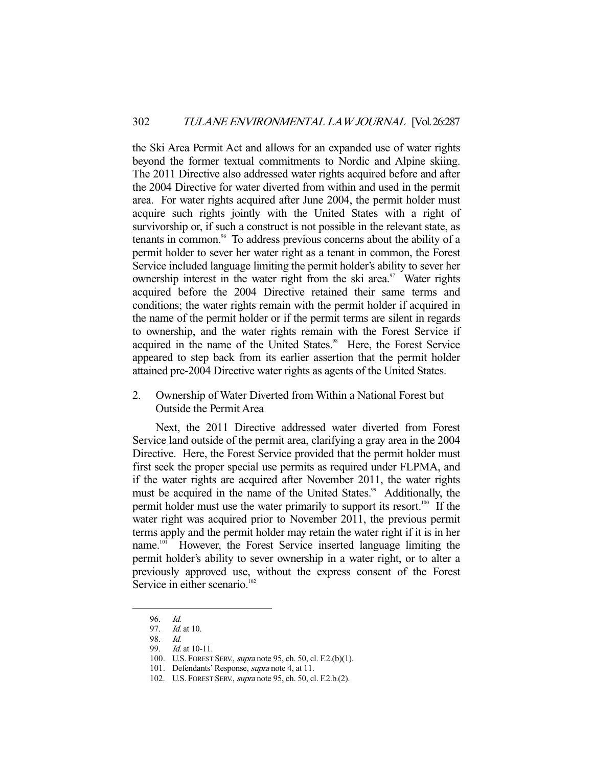the Ski Area Permit Act and allows for an expanded use of water rights beyond the former textual commitments to Nordic and Alpine skiing. The 2011 Directive also addressed water rights acquired before and after the 2004 Directive for water diverted from within and used in the permit area. For water rights acquired after June 2004, the permit holder must acquire such rights jointly with the United States with a right of survivorship or, if such a construct is not possible in the relevant state, as tenants in common.<sup>96</sup> To address previous concerns about the ability of a permit holder to sever her water right as a tenant in common, the Forest Service included language limiting the permit holder's ability to sever her ownership interest in the water right from the ski area. $97$  Water rights acquired before the 2004 Directive retained their same terms and conditions; the water rights remain with the permit holder if acquired in the name of the permit holder or if the permit terms are silent in regards to ownership, and the water rights remain with the Forest Service if acquired in the name of the United States.<sup>98</sup> Here, the Forest Service appeared to step back from its earlier assertion that the permit holder attained pre-2004 Directive water rights as agents of the United States.

2. Ownership of Water Diverted from Within a National Forest but Outside the Permit Area

 Next, the 2011 Directive addressed water diverted from Forest Service land outside of the permit area, clarifying a gray area in the 2004 Directive. Here, the Forest Service provided that the permit holder must first seek the proper special use permits as required under FLPMA, and if the water rights are acquired after November 2011, the water rights must be acquired in the name of the United States.<sup>99</sup> Additionally, the permit holder must use the water primarily to support its resort.<sup>100</sup> If the water right was acquired prior to November 2011, the previous permit terms apply and the permit holder may retain the water right if it is in her name.101 However, the Forest Service inserted language limiting the permit holder's ability to sever ownership in a water right, or to alter a previously approved use, without the express consent of the Forest Service in either scenario.<sup>102</sup>

<sup>96.</sup> Id.<br>97. Id.

*Id.* at 10.

 <sup>98.</sup> Id.

<sup>99.</sup> *Id.* at 10-11.

 <sup>100.</sup> U.S. FOREST SERV., supra note 95, ch. 50, cl. F.2.(b)(1).

 <sup>101.</sup> Defendants' Response, supra note 4, at 11.

 <sup>102.</sup> U.S. FOREST SERV., supra note 95, ch. 50, cl. F.2.b.(2).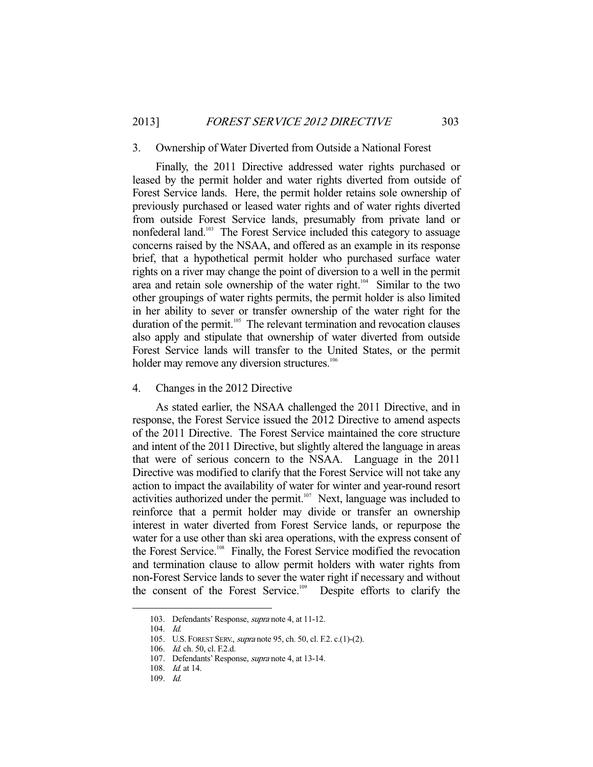#### 3. Ownership of Water Diverted from Outside a National Forest

 Finally, the 2011 Directive addressed water rights purchased or leased by the permit holder and water rights diverted from outside of Forest Service lands. Here, the permit holder retains sole ownership of previously purchased or leased water rights and of water rights diverted from outside Forest Service lands, presumably from private land or nonfederal land.<sup>103</sup> The Forest Service included this category to assuage concerns raised by the NSAA, and offered as an example in its response brief, that a hypothetical permit holder who purchased surface water rights on a river may change the point of diversion to a well in the permit area and retain sole ownership of the water right.<sup>104</sup> Similar to the two other groupings of water rights permits, the permit holder is also limited in her ability to sever or transfer ownership of the water right for the duration of the permit.<sup>105</sup> The relevant termination and revocation clauses also apply and stipulate that ownership of water diverted from outside Forest Service lands will transfer to the United States, or the permit holder may remove any diversion structures.<sup>106</sup>

## 4. Changes in the 2012 Directive

 As stated earlier, the NSAA challenged the 2011 Directive, and in response, the Forest Service issued the 2012 Directive to amend aspects of the 2011 Directive. The Forest Service maintained the core structure and intent of the 2011 Directive, but slightly altered the language in areas that were of serious concern to the NSAA. Language in the 2011 Directive was modified to clarify that the Forest Service will not take any action to impact the availability of water for winter and year-round resort activities authorized under the permit. $107$  Next, language was included to reinforce that a permit holder may divide or transfer an ownership interest in water diverted from Forest Service lands, or repurpose the water for a use other than ski area operations, with the express consent of the Forest Service.<sup>108</sup> Finally, the Forest Service modified the revocation and termination clause to allow permit holders with water rights from non-Forest Service lands to sever the water right if necessary and without the consent of the Forest Service.<sup>109</sup> Despite efforts to clarify the

<sup>103.</sup> Defendants' Response, *supra* note 4, at 11-12.

 <sup>104.</sup> Id.

 <sup>105.</sup> U.S. FOREST SERV., supra note 95, ch. 50, cl. F.2. c.(1)-(2).

 <sup>106.</sup> Id. ch. 50, cl. F.2.d.

<sup>107.</sup> Defendants' Response, *supra* note 4, at 13-14.

 <sup>108.</sup> Id. at 14.

 <sup>109.</sup> Id.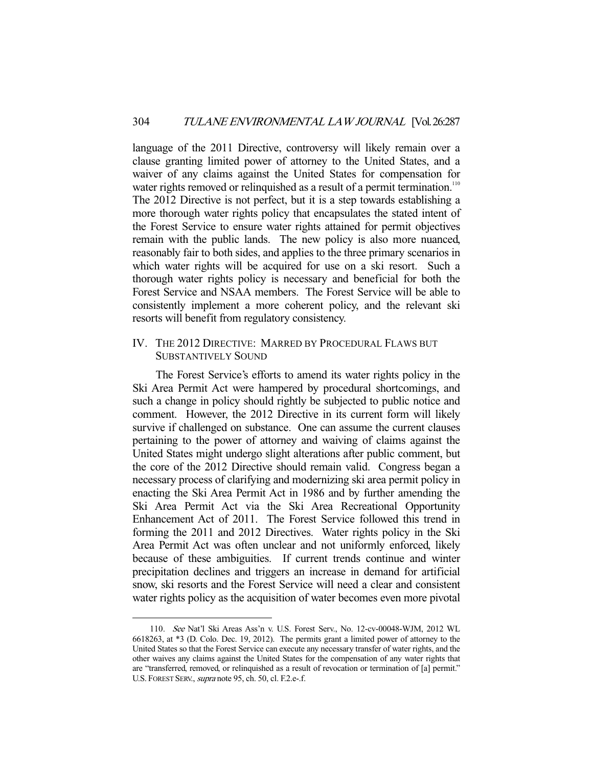language of the 2011 Directive, controversy will likely remain over a clause granting limited power of attorney to the United States, and a waiver of any claims against the United States for compensation for water rights removed or relinquished as a result of a permit termination.<sup>110</sup> The 2012 Directive is not perfect, but it is a step towards establishing a more thorough water rights policy that encapsulates the stated intent of the Forest Service to ensure water rights attained for permit objectives remain with the public lands. The new policy is also more nuanced, reasonably fair to both sides, and applies to the three primary scenarios in which water rights will be acquired for use on a ski resort. Such a thorough water rights policy is necessary and beneficial for both the Forest Service and NSAA members. The Forest Service will be able to consistently implement a more coherent policy, and the relevant ski resorts will benefit from regulatory consistency.

## IV. THE 2012 DIRECTIVE: MARRED BY PROCEDURAL FLAWS BUT SUBSTANTIVELY SOUND

 The Forest Service's efforts to amend its water rights policy in the Ski Area Permit Act were hampered by procedural shortcomings, and such a change in policy should rightly be subjected to public notice and comment. However, the 2012 Directive in its current form will likely survive if challenged on substance. One can assume the current clauses pertaining to the power of attorney and waiving of claims against the United States might undergo slight alterations after public comment, but the core of the 2012 Directive should remain valid. Congress began a necessary process of clarifying and modernizing ski area permit policy in enacting the Ski Area Permit Act in 1986 and by further amending the Ski Area Permit Act via the Ski Area Recreational Opportunity Enhancement Act of 2011. The Forest Service followed this trend in forming the 2011 and 2012 Directives. Water rights policy in the Ski Area Permit Act was often unclear and not uniformly enforced, likely because of these ambiguities. If current trends continue and winter precipitation declines and triggers an increase in demand for artificial snow, ski resorts and the Forest Service will need a clear and consistent water rights policy as the acquisition of water becomes even more pivotal

 <sup>110.</sup> See Nat'l Ski Areas Ass'n v. U.S. Forest Serv., No. 12-cv-00048-WJM, 2012 WL 6618263, at \*3 (D. Colo. Dec. 19, 2012). The permits grant a limited power of attorney to the United States so that the Forest Service can execute any necessary transfer of water rights, and the other waives any claims against the United States for the compensation of any water rights that are "transferred, removed, or relinquished as a result of revocation or termination of [a] permit." U.S. FOREST SERV., supra note 95, ch. 50, cl. F.2.e-.f.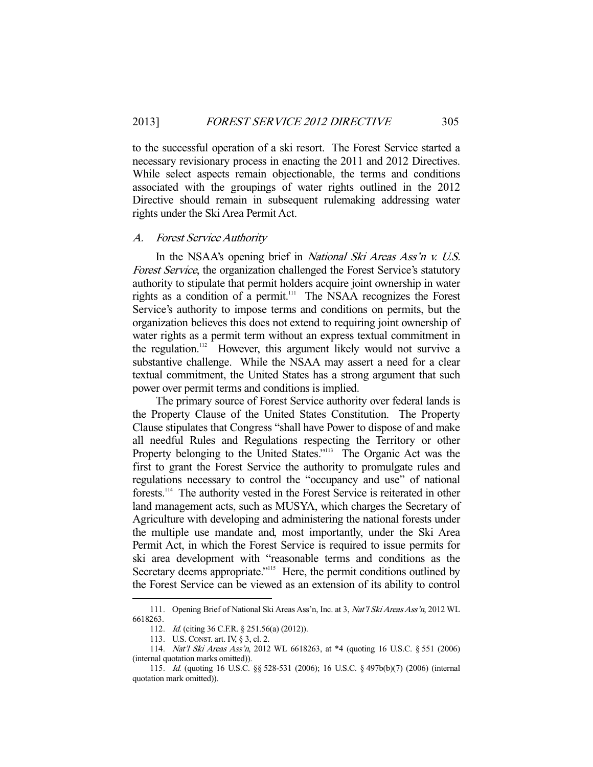to the successful operation of a ski resort. The Forest Service started a necessary revisionary process in enacting the 2011 and 2012 Directives. While select aspects remain objectionable, the terms and conditions associated with the groupings of water rights outlined in the 2012 Directive should remain in subsequent rulemaking addressing water rights under the Ski Area Permit Act.

#### A. Forest Service Authority

In the NSAA's opening brief in *National Ski Areas Ass'n v. U.S.* Forest Service, the organization challenged the Forest Service's statutory authority to stipulate that permit holders acquire joint ownership in water rights as a condition of a permit.<sup>111</sup> The NSAA recognizes the Forest Service's authority to impose terms and conditions on permits, but the organization believes this does not extend to requiring joint ownership of water rights as a permit term without an express textual commitment in the regulation.<sup>112</sup> However, this argument likely would not survive a substantive challenge. While the NSAA may assert a need for a clear textual commitment, the United States has a strong argument that such power over permit terms and conditions is implied.

 The primary source of Forest Service authority over federal lands is the Property Clause of the United States Constitution. The Property Clause stipulates that Congress "shall have Power to dispose of and make all needful Rules and Regulations respecting the Territory or other Property belonging to the United States."<sup>113</sup> The Organic Act was the first to grant the Forest Service the authority to promulgate rules and regulations necessary to control the "occupancy and use" of national forests.114 The authority vested in the Forest Service is reiterated in other land management acts, such as MUSYA, which charges the Secretary of Agriculture with developing and administering the national forests under the multiple use mandate and, most importantly, under the Ski Area Permit Act, in which the Forest Service is required to issue permits for ski area development with "reasonable terms and conditions as the Secretary deems appropriate."<sup>115</sup> Here, the permit conditions outlined by the Forest Service can be viewed as an extension of its ability to control

 <sup>111.</sup> Opening Brief of National Ski Areas Ass'n, Inc. at 3, Nat'l Ski Areas Ass'n, 2012 WL 6618263.

 <sup>112.</sup> Id. (citing 36 C.F.R. § 251.56(a) (2012)).

 <sup>113.</sup> U.S. CONST. art. IV, § 3, cl. 2.

 <sup>114.</sup> Nat'l Ski Areas Ass'n, 2012 WL 6618263, at \*4 (quoting 16 U.S.C. § 551 (2006) (internal quotation marks omitted)).

 <sup>115.</sup> Id. (quoting 16 U.S.C. §§ 528-531 (2006); 16 U.S.C. § 497b(b)(7) (2006) (internal quotation mark omitted)).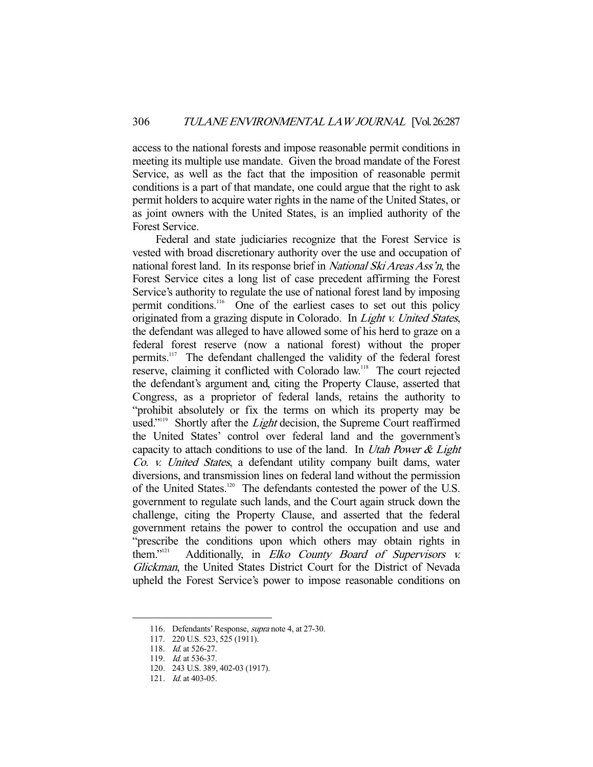access to the national forests and impose reasonable permit conditions in meeting its multiple use mandate. Given the broad mandate of the Forest Service, as well as the fact that the imposition of reasonable permit conditions is a part of that mandate, one could argue that the right to ask permit holders to acquire water rights in the name of the United States, or as joint owners with the United States, is an implied authority of the Forest Service.

 Federal and state judiciaries recognize that the Forest Service is vested with broad discretionary authority over the use and occupation of national forest land. In its response brief in *National Ski Areas Ass'n*, the Forest Service cites a long list of case precedent affirming the Forest Service's authority to regulate the use of national forest land by imposing permit conditions.116 One of the earliest cases to set out this policy originated from a grazing dispute in Colorado. In Light v. United States, the defendant was alleged to have allowed some of his herd to graze on a federal forest reserve (now a national forest) without the proper permits.117 The defendant challenged the validity of the federal forest reserve, claiming it conflicted with Colorado law.118 The court rejected the defendant's argument and, citing the Property Clause, asserted that Congress, as a proprietor of federal lands, retains the authority to "prohibit absolutely or fix the terms on which its property may be used."<sup>119</sup> Shortly after the *Light* decision, the Supreme Court reaffirmed the United States' control over federal land and the government's capacity to attach conditions to use of the land. In Utah Power & Light Co. v. United States, a defendant utility company built dams, water diversions, and transmission lines on federal land without the permission of the United States.<sup>120</sup> The defendants contested the power of the U.S. government to regulate such lands, and the Court again struck down the challenge, citing the Property Clause, and asserted that the federal government retains the power to control the occupation and use and "prescribe the conditions upon which others may obtain rights in them."<sup>121</sup> Additionally, in *Elko County Board of Supervisors v.* Additionally, in Elko County Board of Supervisors v. Glickman, the United States District Court for the District of Nevada upheld the Forest Service's power to impose reasonable conditions on

 <sup>116.</sup> Defendants' Response, supra note 4, at 27-30.

 <sup>117. 220</sup> U.S. 523, 525 (1911).

<sup>118.</sup> *Id.* at 526-27.

<sup>119.</sup> *Id.* at 536-37.

 <sup>120. 243</sup> U.S. 389, 402-03 (1917).

<sup>121.</sup> *Id.* at 403-05.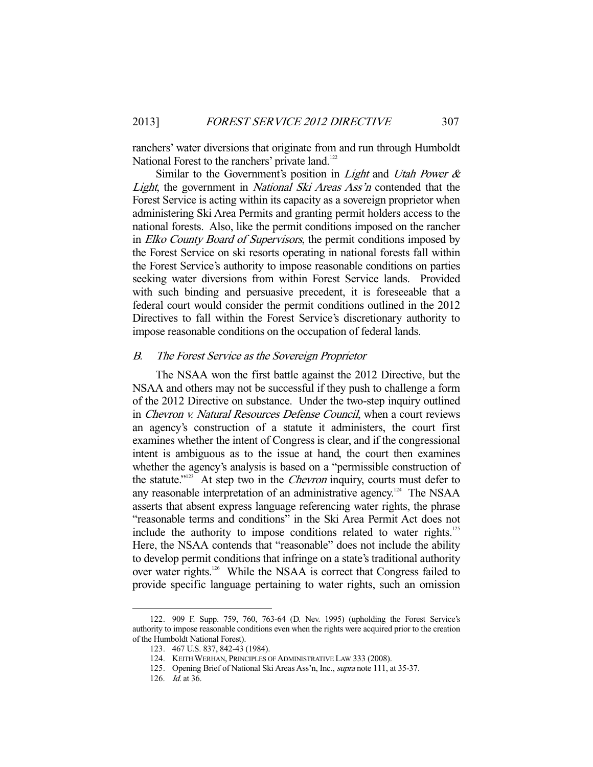ranchers' water diversions that originate from and run through Humboldt National Forest to the ranchers' private land.<sup>122</sup>

Similar to the Government's position in *Light* and *Utah Power &* Light, the government in *National Ski Areas Ass'n* contended that the Forest Service is acting within its capacity as a sovereign proprietor when administering Ski Area Permits and granting permit holders access to the national forests. Also, like the permit conditions imposed on the rancher in Elko County Board of Supervisors, the permit conditions imposed by the Forest Service on ski resorts operating in national forests fall within the Forest Service's authority to impose reasonable conditions on parties seeking water diversions from within Forest Service lands. Provided with such binding and persuasive precedent, it is foreseeable that a federal court would consider the permit conditions outlined in the 2012 Directives to fall within the Forest Service's discretionary authority to impose reasonable conditions on the occupation of federal lands.

## B. The Forest Service as the Sovereign Proprietor

 The NSAA won the first battle against the 2012 Directive, but the NSAA and others may not be successful if they push to challenge a form of the 2012 Directive on substance. Under the two-step inquiry outlined in Chevron v. Natural Resources Defense Council, when a court reviews an agency's construction of a statute it administers, the court first examines whether the intent of Congress is clear, and if the congressional intent is ambiguous as to the issue at hand, the court then examines whether the agency's analysis is based on a "permissible construction of the statute."<sup>123</sup> At step two in the *Chevron* inquiry, courts must defer to any reasonable interpretation of an administrative agency.<sup>124</sup> The NSAA asserts that absent express language referencing water rights, the phrase "reasonable terms and conditions" in the Ski Area Permit Act does not include the authority to impose conditions related to water rights.<sup>125</sup> Here, the NSAA contends that "reasonable" does not include the ability to develop permit conditions that infringe on a state's traditional authority over water rights.126 While the NSAA is correct that Congress failed to provide specific language pertaining to water rights, such an omission

 <sup>122. 909</sup> F. Supp. 759, 760, 763-64 (D. Nev. 1995) (upholding the Forest Service's authority to impose reasonable conditions even when the rights were acquired prior to the creation of the Humboldt National Forest).

 <sup>123. 467</sup> U.S. 837, 842-43 (1984).

 <sup>124.</sup> KEITH WERHAN, PRINCIPLES OF ADMINISTRATIVE LAW 333 (2008).

<sup>125.</sup> Opening Brief of National Ski Areas Ass'n, Inc., *supra* note 111, at 35-37.

 <sup>126.</sup> Id. at 36.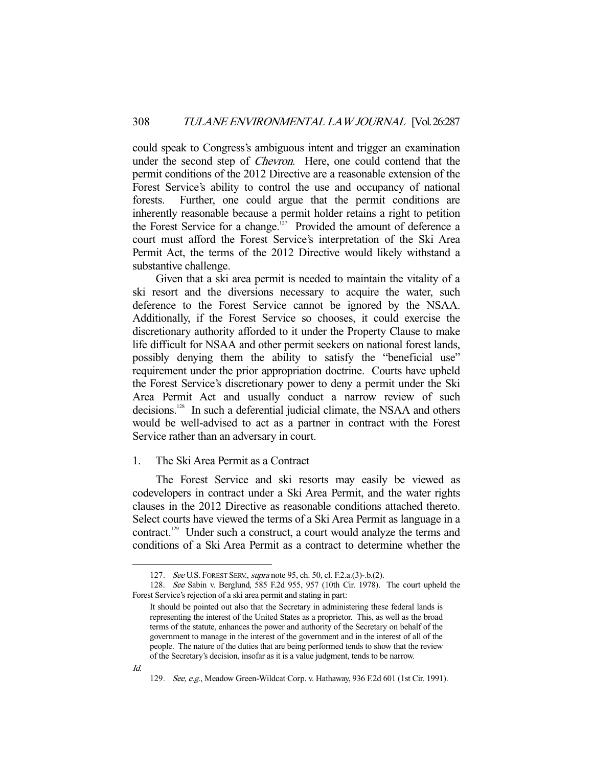could speak to Congress's ambiguous intent and trigger an examination under the second step of *Chevron*. Here, one could contend that the permit conditions of the 2012 Directive are a reasonable extension of the Forest Service's ability to control the use and occupancy of national forests. Further, one could argue that the permit conditions are inherently reasonable because a permit holder retains a right to petition the Forest Service for a change.<sup>127</sup> Provided the amount of deference a court must afford the Forest Service's interpretation of the Ski Area Permit Act, the terms of the 2012 Directive would likely withstand a substantive challenge.

 Given that a ski area permit is needed to maintain the vitality of a ski resort and the diversions necessary to acquire the water, such deference to the Forest Service cannot be ignored by the NSAA. Additionally, if the Forest Service so chooses, it could exercise the discretionary authority afforded to it under the Property Clause to make life difficult for NSAA and other permit seekers on national forest lands, possibly denying them the ability to satisfy the "beneficial use" requirement under the prior appropriation doctrine. Courts have upheld the Forest Service's discretionary power to deny a permit under the Ski Area Permit Act and usually conduct a narrow review of such decisions.<sup>128</sup> In such a deferential judicial climate, the NSAA and others would be well-advised to act as a partner in contract with the Forest Service rather than an adversary in court.

## 1. The Ski Area Permit as a Contract

 The Forest Service and ski resorts may easily be viewed as codevelopers in contract under a Ski Area Permit, and the water rights clauses in the 2012 Directive as reasonable conditions attached thereto. Select courts have viewed the terms of a Ski Area Permit as language in a contract.129 Under such a construct, a court would analyze the terms and conditions of a Ski Area Permit as a contract to determine whether the

 <sup>127.</sup> See U.S. FOREST SERV., supra note 95, ch. 50, cl. F.2.a.(3)-.b.(2).

 <sup>128.</sup> See Sabin v. Berglund, 585 F.2d 955, 957 (10th Cir. 1978). The court upheld the Forest Service's rejection of a ski area permit and stating in part:

It should be pointed out also that the Secretary in administering these federal lands is representing the interest of the United States as a proprietor. This, as well as the broad terms of the statute, enhances the power and authority of the Secretary on behalf of the government to manage in the interest of the government and in the interest of all of the people. The nature of the duties that are being performed tends to show that the review of the Secretary's decision, insofar as it is a value judgment, tends to be narrow.

<sup>129.</sup> See, e.g., Meadow Green-Wildcat Corp. v. Hathaway, 936 F.2d 601 (1st Cir. 1991).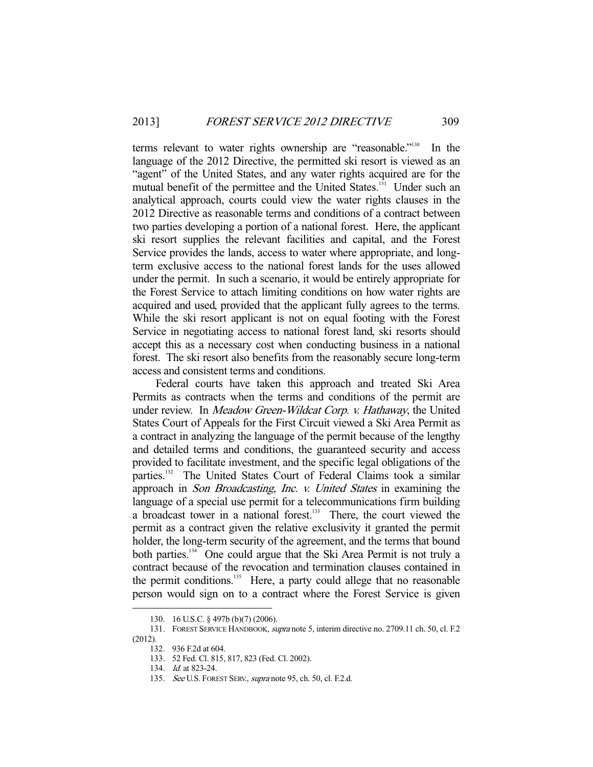terms relevant to water rights ownership are "reasonable."130 In the language of the 2012 Directive, the permitted ski resort is viewed as an "agent" of the United States, and any water rights acquired are for the mutual benefit of the permittee and the United States.<sup>131</sup> Under such an analytical approach, courts could view the water rights clauses in the 2012 Directive as reasonable terms and conditions of a contract between two parties developing a portion of a national forest. Here, the applicant ski resort supplies the relevant facilities and capital, and the Forest Service provides the lands, access to water where appropriate, and longterm exclusive access to the national forest lands for the uses allowed under the permit. In such a scenario, it would be entirely appropriate for the Forest Service to attach limiting conditions on how water rights are acquired and used, provided that the applicant fully agrees to the terms. While the ski resort applicant is not on equal footing with the Forest Service in negotiating access to national forest land, ski resorts should accept this as a necessary cost when conducting business in a national forest. The ski resort also benefits from the reasonably secure long-term access and consistent terms and conditions.

 Federal courts have taken this approach and treated Ski Area Permits as contracts when the terms and conditions of the permit are under review. In Meadow Green-Wildcat Corp. v. Hathaway, the United States Court of Appeals for the First Circuit viewed a Ski Area Permit as a contract in analyzing the language of the permit because of the lengthy and detailed terms and conditions, the guaranteed security and access provided to facilitate investment, and the specific legal obligations of the parties.<sup>132</sup> The United States Court of Federal Claims took a similar approach in Son Broadcasting, Inc. v. United States in examining the language of a special use permit for a telecommunications firm building a broadcast tower in a national forest.133 There, the court viewed the permit as a contract given the relative exclusivity it granted the permit holder, the long-term security of the agreement, and the terms that bound both parties.<sup>134</sup> One could argue that the Ski Area Permit is not truly a contract because of the revocation and termination clauses contained in the permit conditions.<sup>135</sup> Here, a party could allege that no reasonable person would sign on to a contract where the Forest Service is given

 <sup>130. 16</sup> U.S.C. § 497b (b)(7) (2006).

<sup>131.</sup> FOREST SERVICE HANDBOOK, *supra* note 5, interim directive no. 2709.11 ch. 50, cl. F.2 (2012).

 <sup>132. 936</sup> F.2d at 604.

 <sup>133. 52</sup> Fed. Cl. 815, 817, 823 (Fed. Cl. 2002).

 <sup>134.</sup> Id. at 823-24.

<sup>135.</sup> See U.S. FOREST SERV., supra note 95, ch. 50, cl. F.2.d.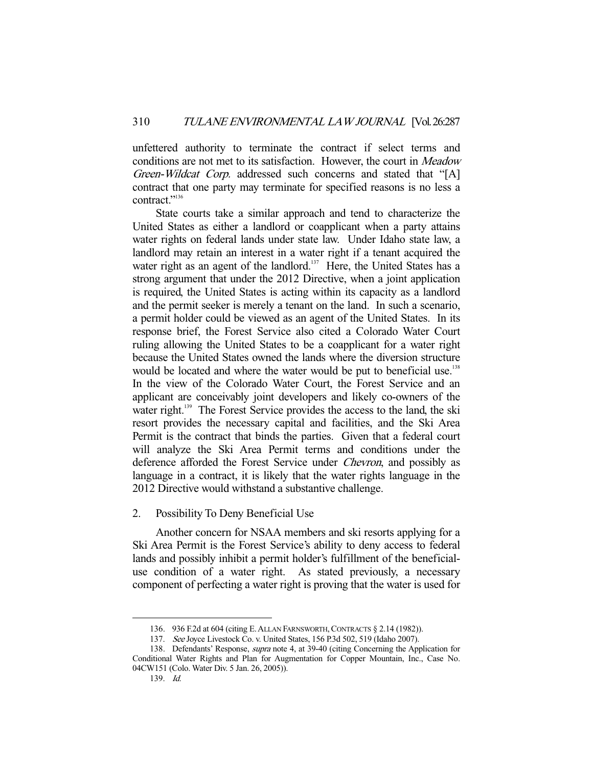unfettered authority to terminate the contract if select terms and conditions are not met to its satisfaction. However, the court in Meadow Green-Wildcat Corp. addressed such concerns and stated that "[A] contract that one party may terminate for specified reasons is no less a contract."<sup>136</sup>

 State courts take a similar approach and tend to characterize the United States as either a landlord or coapplicant when a party attains water rights on federal lands under state law. Under Idaho state law, a landlord may retain an interest in a water right if a tenant acquired the water right as an agent of the landlord.<sup>137</sup> Here, the United States has a strong argument that under the 2012 Directive, when a joint application is required, the United States is acting within its capacity as a landlord and the permit seeker is merely a tenant on the land. In such a scenario, a permit holder could be viewed as an agent of the United States. In its response brief, the Forest Service also cited a Colorado Water Court ruling allowing the United States to be a coapplicant for a water right because the United States owned the lands where the diversion structure would be located and where the water would be put to beneficial use.<sup>138</sup> In the view of the Colorado Water Court, the Forest Service and an applicant are conceivably joint developers and likely co-owners of the water right.<sup>139</sup> The Forest Service provides the access to the land, the ski resort provides the necessary capital and facilities, and the Ski Area Permit is the contract that binds the parties. Given that a federal court will analyze the Ski Area Permit terms and conditions under the deference afforded the Forest Service under Chevron, and possibly as language in a contract, it is likely that the water rights language in the 2012 Directive would withstand a substantive challenge.

#### 2. Possibility To Deny Beneficial Use

 Another concern for NSAA members and ski resorts applying for a Ski Area Permit is the Forest Service's ability to deny access to federal lands and possibly inhibit a permit holder's fulfillment of the beneficialuse condition of a water right. As stated previously, a necessary component of perfecting a water right is proving that the water is used for

 <sup>136. 936</sup> F.2d at 604 (citing E.ALLAN FARNSWORTH,CONTRACTS § 2.14 (1982)).

 <sup>137.</sup> See Joyce Livestock Co. v. United States, 156 P.3d 502, 519 (Idaho 2007).

 <sup>138.</sup> Defendants' Response, supra note 4, at 39-40 (citing Concerning the Application for Conditional Water Rights and Plan for Augmentation for Copper Mountain, Inc., Case No. 04CW151 (Colo. Water Div. 5 Jan. 26, 2005)).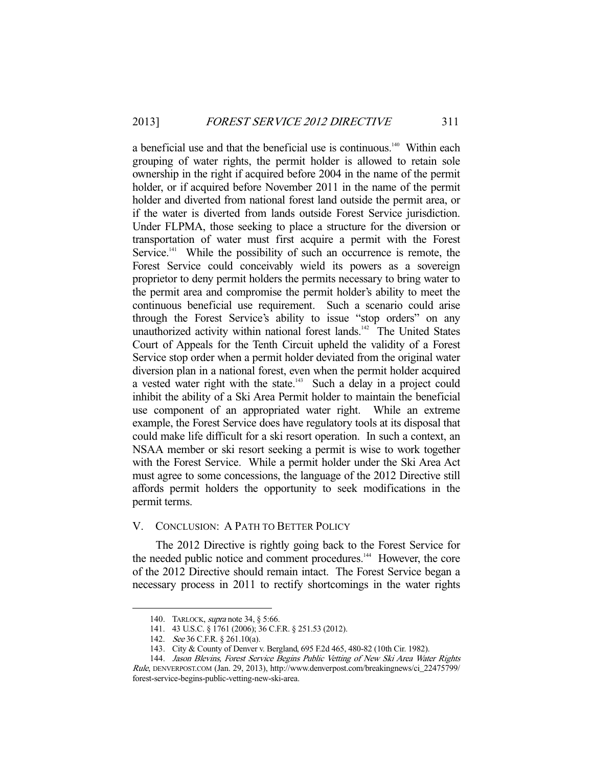a beneficial use and that the beneficial use is continuous.<sup>140</sup> Within each grouping of water rights, the permit holder is allowed to retain sole ownership in the right if acquired before 2004 in the name of the permit holder, or if acquired before November 2011 in the name of the permit holder and diverted from national forest land outside the permit area, or if the water is diverted from lands outside Forest Service jurisdiction. Under FLPMA, those seeking to place a structure for the diversion or transportation of water must first acquire a permit with the Forest Service.<sup>141</sup> While the possibility of such an occurrence is remote, the Forest Service could conceivably wield its powers as a sovereign proprietor to deny permit holders the permits necessary to bring water to the permit area and compromise the permit holder's ability to meet the continuous beneficial use requirement. Such a scenario could arise through the Forest Service's ability to issue "stop orders" on any unauthorized activity within national forest lands.<sup>142</sup> The United States Court of Appeals for the Tenth Circuit upheld the validity of a Forest Service stop order when a permit holder deviated from the original water diversion plan in a national forest, even when the permit holder acquired a vested water right with the state. $143$  Such a delay in a project could inhibit the ability of a Ski Area Permit holder to maintain the beneficial use component of an appropriated water right. While an extreme example, the Forest Service does have regulatory tools at its disposal that could make life difficult for a ski resort operation. In such a context, an NSAA member or ski resort seeking a permit is wise to work together with the Forest Service. While a permit holder under the Ski Area Act must agree to some concessions, the language of the 2012 Directive still affords permit holders the opportunity to seek modifications in the permit terms.

## V. CONCLUSION: A PATH TO BETTER POLICY

 The 2012 Directive is rightly going back to the Forest Service for the needed public notice and comment procedures.<sup>144</sup> However, the core of the 2012 Directive should remain intact. The Forest Service began a necessary process in 2011 to rectify shortcomings in the water rights

<sup>140.</sup> TARLOCK, *supra* note 34, § 5:66.

 <sup>141. 43</sup> U.S.C. § 1761 (2006); 36 C.F.R. § 251.53 (2012).

 <sup>142.</sup> See 36 C.F.R. § 261.10(a).

 <sup>143.</sup> City & County of Denver v. Bergland, 695 F.2d 465, 480-82 (10th Cir. 1982).

 <sup>144.</sup> Jason Blevins, Forest Service Begins Public Vetting of New Ski Area Water Rights Rule, DENVERPOST.COM (Jan. 29, 2013), http://www.denverpost.com/breakingnews/ci\_22475799/ forest-service-begins-public-vetting-new-ski-area.